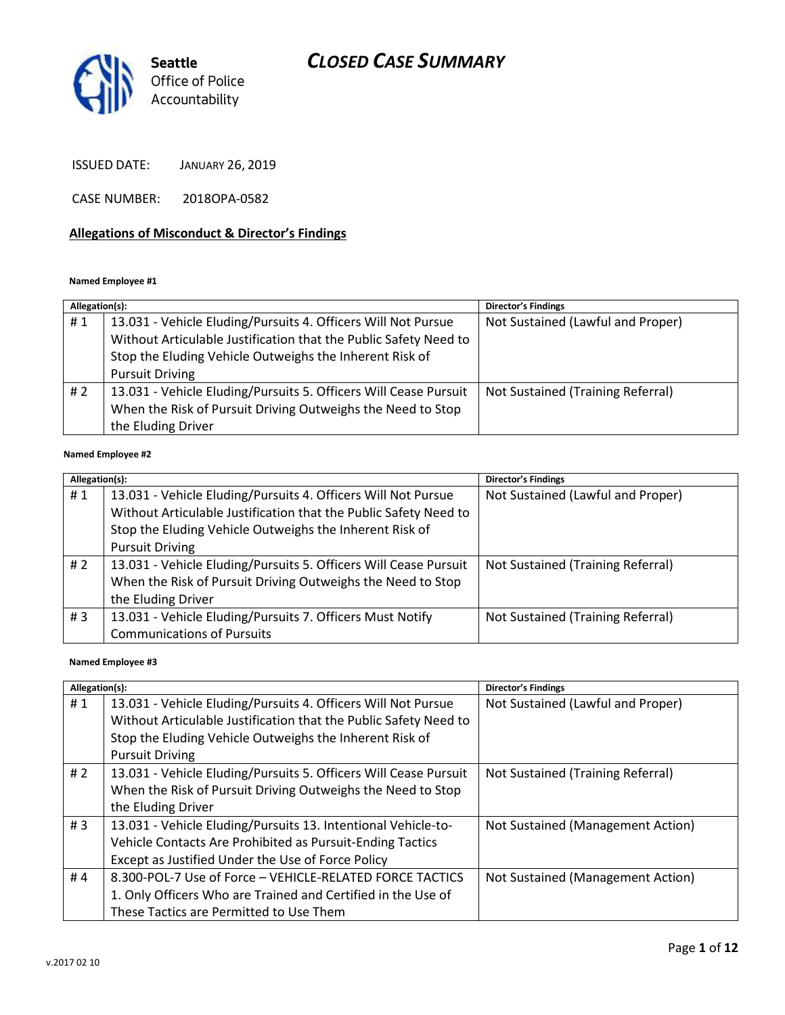

ISSUED DATE: JANUARY 26, 2019

CASE NUMBER: 2018OPA-0582

#### **Allegations of Misconduct & Director's Findings**

#### **Named Employee #1**

| Allegation(s): |                                                                  | Director's Findings               |
|----------------|------------------------------------------------------------------|-----------------------------------|
| #1             | 13.031 - Vehicle Eluding/Pursuits 4. Officers Will Not Pursue    | Not Sustained (Lawful and Proper) |
|                | Without Articulable Justification that the Public Safety Need to |                                   |
|                | Stop the Eluding Vehicle Outweighs the Inherent Risk of          |                                   |
|                | <b>Pursuit Driving</b>                                           |                                   |
| #2             | 13.031 - Vehicle Eluding/Pursuits 5. Officers Will Cease Pursuit | Not Sustained (Training Referral) |
|                | When the Risk of Pursuit Driving Outweighs the Need to Stop      |                                   |
|                | the Eluding Driver                                               |                                   |
|                |                                                                  |                                   |

#### **Named Employee #2**

| Allegation(s): |                                                                                                                                                                                                                        | Director's Findings               |
|----------------|------------------------------------------------------------------------------------------------------------------------------------------------------------------------------------------------------------------------|-----------------------------------|
| #1             | 13.031 - Vehicle Eluding/Pursuits 4. Officers Will Not Pursue<br>Without Articulable Justification that the Public Safety Need to<br>Stop the Eluding Vehicle Outweighs the Inherent Risk of<br><b>Pursuit Driving</b> | Not Sustained (Lawful and Proper) |
| #2             | 13.031 - Vehicle Eluding/Pursuits 5. Officers Will Cease Pursuit<br>When the Risk of Pursuit Driving Outweighs the Need to Stop<br>the Eluding Driver                                                                  | Not Sustained (Training Referral) |
| #3             | 13.031 - Vehicle Eluding/Pursuits 7. Officers Must Notify<br><b>Communications of Pursuits</b>                                                                                                                         | Not Sustained (Training Referral) |

#### **Named Employee #3**

| Allegation(s): |                                                                                                                                                                                                                        | Director's Findings               |
|----------------|------------------------------------------------------------------------------------------------------------------------------------------------------------------------------------------------------------------------|-----------------------------------|
| #1             | 13.031 - Vehicle Eluding/Pursuits 4. Officers Will Not Pursue<br>Without Articulable Justification that the Public Safety Need to<br>Stop the Eluding Vehicle Outweighs the Inherent Risk of<br><b>Pursuit Driving</b> | Not Sustained (Lawful and Proper) |
| #2             | 13.031 - Vehicle Eluding/Pursuits 5. Officers Will Cease Pursuit<br>When the Risk of Pursuit Driving Outweighs the Need to Stop<br>the Eluding Driver                                                                  | Not Sustained (Training Referral) |
| #3             | 13.031 - Vehicle Eluding/Pursuits 13. Intentional Vehicle-to-<br>Vehicle Contacts Are Prohibited as Pursuit-Ending Tactics<br>Except as Justified Under the Use of Force Policy                                        | Not Sustained (Management Action) |
| #4             | 8.300-POL-7 Use of Force - VEHICLE-RELATED FORCE TACTICS<br>1. Only Officers Who are Trained and Certified in the Use of<br>These Tactics are Permitted to Use Them                                                    | Not Sustained (Management Action) |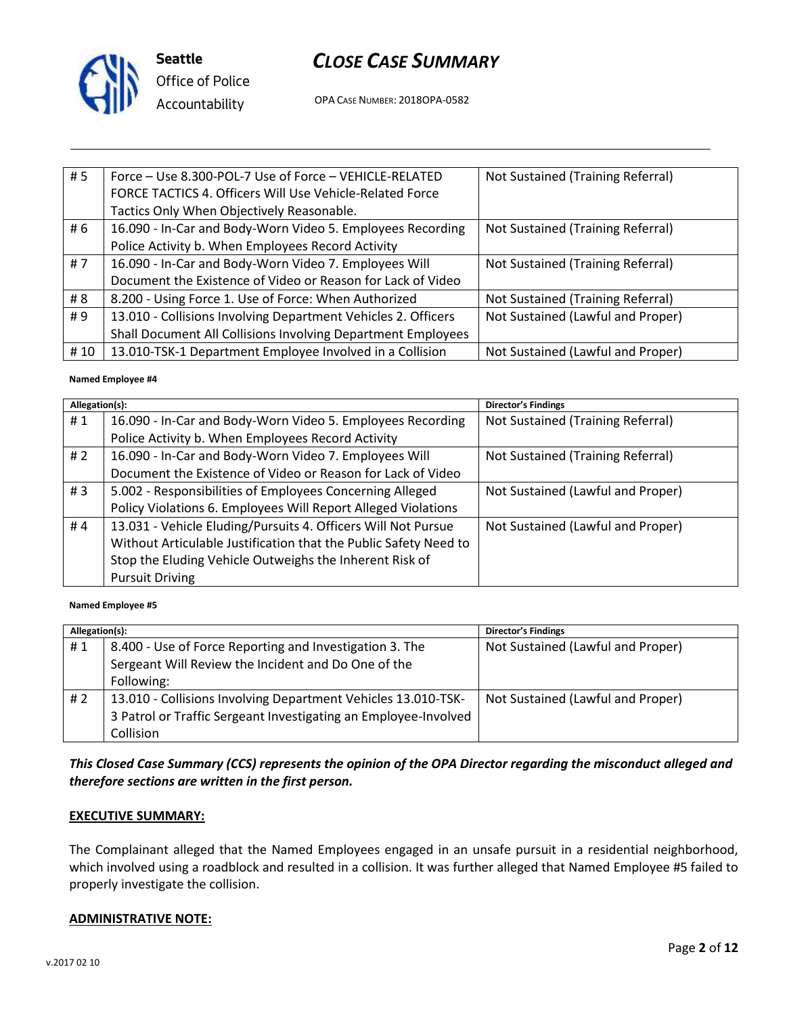

**Seattle** *Office of Police Accountability*

## *CLOSE CASE SUMMARY*

OPA CASE NUMBER: 2018OPA-0582

| # 5 | Force - Use 8.300-POL-7 Use of Force - VEHICLE-RELATED        | Not Sustained (Training Referral) |
|-----|---------------------------------------------------------------|-----------------------------------|
|     | FORCE TACTICS 4. Officers Will Use Vehicle-Related Force      |                                   |
|     | Tactics Only When Objectively Reasonable.                     |                                   |
| # 6 | 16.090 - In-Car and Body-Worn Video 5. Employees Recording    | Not Sustained (Training Referral) |
|     | Police Activity b. When Employees Record Activity             |                                   |
| #7  | 16.090 - In-Car and Body-Worn Video 7. Employees Will         | Not Sustained (Training Referral) |
|     | Document the Existence of Video or Reason for Lack of Video   |                                   |
| # 8 | 8.200 - Using Force 1. Use of Force: When Authorized          | Not Sustained (Training Referral) |
| #9  | 13.010 - Collisions Involving Department Vehicles 2. Officers | Not Sustained (Lawful and Proper) |
|     | Shall Document All Collisions Involving Department Employees  |                                   |
| #10 | 13.010-TSK-1 Department Employee Involved in a Collision      | Not Sustained (Lawful and Proper) |

#### **Named Employee #4**

| Allegation(s): |                                                                  | <b>Director's Findings</b>        |
|----------------|------------------------------------------------------------------|-----------------------------------|
| #1             | 16.090 - In-Car and Body-Worn Video 5. Employees Recording       | Not Sustained (Training Referral) |
|                | Police Activity b. When Employees Record Activity                |                                   |
| # 2            | 16.090 - In-Car and Body-Worn Video 7. Employees Will            | Not Sustained (Training Referral) |
|                | Document the Existence of Video or Reason for Lack of Video      |                                   |
| #3             | 5.002 - Responsibilities of Employees Concerning Alleged         | Not Sustained (Lawful and Proper) |
|                | Policy Violations 6. Employees Will Report Alleged Violations    |                                   |
| #4             | 13.031 - Vehicle Eluding/Pursuits 4. Officers Will Not Pursue    | Not Sustained (Lawful and Proper) |
|                | Without Articulable Justification that the Public Safety Need to |                                   |
|                | Stop the Eluding Vehicle Outweighs the Inherent Risk of          |                                   |
|                | <b>Pursuit Driving</b>                                           |                                   |

#### **Named Employee #5**

| Allegation(s): |                                                                 | <b>Director's Findings</b>        |
|----------------|-----------------------------------------------------------------|-----------------------------------|
| #1             | 8.400 - Use of Force Reporting and Investigation 3. The         | Not Sustained (Lawful and Proper) |
|                | Sergeant Will Review the Incident and Do One of the             |                                   |
|                | Following:                                                      |                                   |
| # 2            | 13.010 - Collisions Involving Department Vehicles 13.010-TSK-   | Not Sustained (Lawful and Proper) |
|                | 3 Patrol or Traffic Sergeant Investigating an Employee-Involved |                                   |
|                | Collision                                                       |                                   |

#### *This Closed Case Summary (CCS) represents the opinion of the OPA Director regarding the misconduct alleged and therefore sections are written in the first person.*

#### **EXECUTIVE SUMMARY:**

The Complainant alleged that the Named Employees engaged in an unsafe pursuit in a residential neighborhood, which involved using a roadblock and resulted in a collision. It was further alleged that Named Employee #5 failed to properly investigate the collision.

#### **ADMINISTRATIVE NOTE:**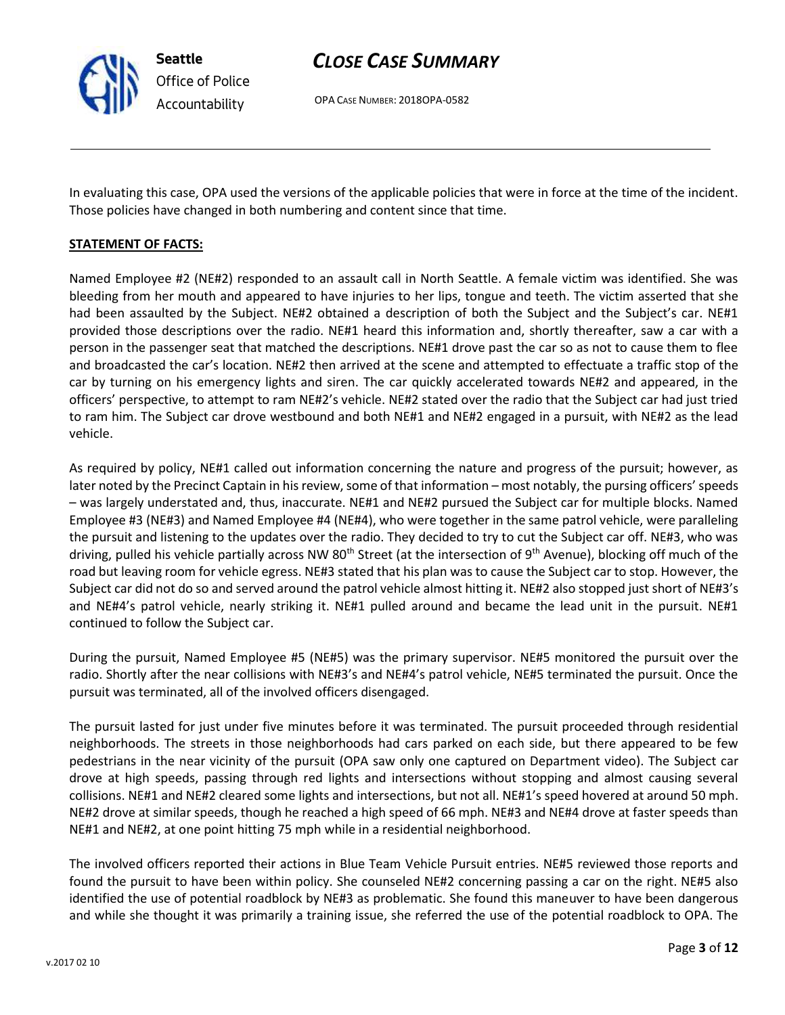

**Seattle** *Office of Police Accountability*

## *CLOSE CASE SUMMARY*

OPA CASE NUMBER: 2018OPA-0582

In evaluating this case, OPA used the versions of the applicable policies that were in force at the time of the incident. Those policies have changed in both numbering and content since that time.

### **STATEMENT OF FACTS:**

Named Employee #2 (NE#2) responded to an assault call in North Seattle. A female victim was identified. She was bleeding from her mouth and appeared to have injuries to her lips, tongue and teeth. The victim asserted that she had been assaulted by the Subject. NE#2 obtained a description of both the Subject and the Subject's car. NE#1 provided those descriptions over the radio. NE#1 heard this information and, shortly thereafter, saw a car with a person in the passenger seat that matched the descriptions. NE#1 drove past the car so as not to cause them to flee and broadcasted the car's location. NE#2 then arrived at the scene and attempted to effectuate a traffic stop of the car by turning on his emergency lights and siren. The car quickly accelerated towards NE#2 and appeared, in the officers' perspective, to attempt to ram NE#2's vehicle. NE#2 stated over the radio that the Subject car had just tried to ram him. The Subject car drove westbound and both NE#1 and NE#2 engaged in a pursuit, with NE#2 as the lead vehicle.

As required by policy, NE#1 called out information concerning the nature and progress of the pursuit; however, as later noted by the Precinct Captain in his review, some of that information – most notably, the pursing officers' speeds – was largely understated and, thus, inaccurate. NE#1 and NE#2 pursued the Subject car for multiple blocks. Named Employee #3 (NE#3) and Named Employee #4 (NE#4), who were together in the same patrol vehicle, were paralleling the pursuit and listening to the updates over the radio. They decided to try to cut the Subject car off. NE#3, who was driving, pulled his vehicle partially across NW 80<sup>th</sup> Street (at the intersection of 9<sup>th</sup> Avenue), blocking off much of the road but leaving room for vehicle egress. NE#3 stated that his plan was to cause the Subject car to stop. However, the Subject car did not do so and served around the patrol vehicle almost hitting it. NE#2 also stopped just short of NE#3's and NE#4's patrol vehicle, nearly striking it. NE#1 pulled around and became the lead unit in the pursuit. NE#1 continued to follow the Subject car.

During the pursuit, Named Employee #5 (NE#5) was the primary supervisor. NE#5 monitored the pursuit over the radio. Shortly after the near collisions with NE#3's and NE#4's patrol vehicle, NE#5 terminated the pursuit. Once the pursuit was terminated, all of the involved officers disengaged.

The pursuit lasted for just under five minutes before it was terminated. The pursuit proceeded through residential neighborhoods. The streets in those neighborhoods had cars parked on each side, but there appeared to be few pedestrians in the near vicinity of the pursuit (OPA saw only one captured on Department video). The Subject car drove at high speeds, passing through red lights and intersections without stopping and almost causing several collisions. NE#1 and NE#2 cleared some lights and intersections, but not all. NE#1's speed hovered at around 50 mph. NE#2 drove at similar speeds, though he reached a high speed of 66 mph. NE#3 and NE#4 drove at faster speeds than NE#1 and NE#2, at one point hitting 75 mph while in a residential neighborhood.

The involved officers reported their actions in Blue Team Vehicle Pursuit entries. NE#5 reviewed those reports and found the pursuit to have been within policy. She counseled NE#2 concerning passing a car on the right. NE#5 also identified the use of potential roadblock by NE#3 as problematic. She found this maneuver to have been dangerous and while she thought it was primarily a training issue, she referred the use of the potential roadblock to OPA. The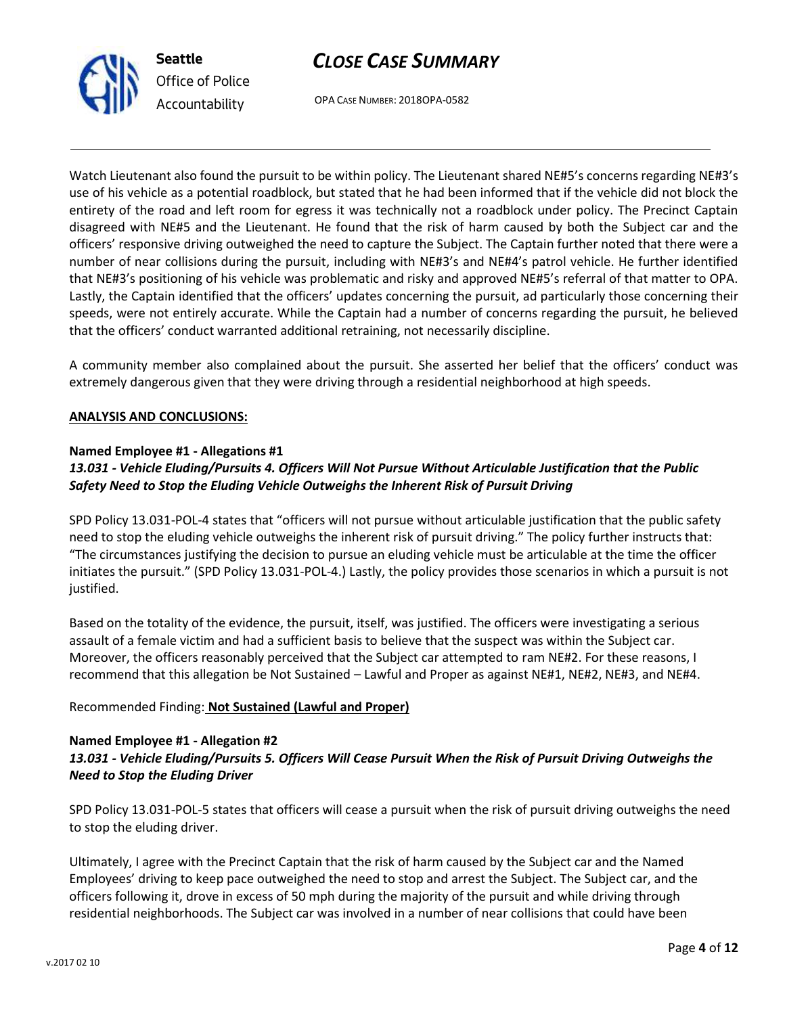



OPA CASE NUMBER: 2018OPA-0582

Watch Lieutenant also found the pursuit to be within policy. The Lieutenant shared NE#5's concerns regarding NE#3's use of his vehicle as a potential roadblock, but stated that he had been informed that if the vehicle did not block the entirety of the road and left room for egress it was technically not a roadblock under policy. The Precinct Captain disagreed with NE#5 and the Lieutenant. He found that the risk of harm caused by both the Subject car and the officers' responsive driving outweighed the need to capture the Subject. The Captain further noted that there were a number of near collisions during the pursuit, including with NE#3's and NE#4's patrol vehicle. He further identified that NE#3's positioning of his vehicle was problematic and risky and approved NE#5's referral of that matter to OPA. Lastly, the Captain identified that the officers' updates concerning the pursuit, ad particularly those concerning their speeds, were not entirely accurate. While the Captain had a number of concerns regarding the pursuit, he believed that the officers' conduct warranted additional retraining, not necessarily discipline.

A community member also complained about the pursuit. She asserted her belief that the officers' conduct was extremely dangerous given that they were driving through a residential neighborhood at high speeds.

#### **ANALYSIS AND CONCLUSIONS:**

#### **Named Employee #1 - Allegations #1**

### *13.031 - Vehicle Eluding/Pursuits 4. Officers Will Not Pursue Without Articulable Justification that the Public Safety Need to Stop the Eluding Vehicle Outweighs the Inherent Risk of Pursuit Driving*

SPD Policy 13.031-POL-4 states that "officers will not pursue without articulable justification that the public safety need to stop the eluding vehicle outweighs the inherent risk of pursuit driving." The policy further instructs that: "The circumstances justifying the decision to pursue an eluding vehicle must be articulable at the time the officer initiates the pursuit." (SPD Policy 13.031-POL-4.) Lastly, the policy provides those scenarios in which a pursuit is not justified.

Based on the totality of the evidence, the pursuit, itself, was justified. The officers were investigating a serious assault of a female victim and had a sufficient basis to believe that the suspect was within the Subject car. Moreover, the officers reasonably perceived that the Subject car attempted to ram NE#2. For these reasons, I recommend that this allegation be Not Sustained – Lawful and Proper as against NE#1, NE#2, NE#3, and NE#4.

Recommended Finding: **Not Sustained (Lawful and Proper)**

#### **Named Employee #1 - Allegation #2**

### *13.031 - Vehicle Eluding/Pursuits 5. Officers Will Cease Pursuit When the Risk of Pursuit Driving Outweighs the Need to Stop the Eluding Driver*

SPD Policy 13.031-POL-5 states that officers will cease a pursuit when the risk of pursuit driving outweighs the need to stop the eluding driver.

Ultimately, I agree with the Precinct Captain that the risk of harm caused by the Subject car and the Named Employees' driving to keep pace outweighed the need to stop and arrest the Subject. The Subject car, and the officers following it, drove in excess of 50 mph during the majority of the pursuit and while driving through residential neighborhoods. The Subject car was involved in a number of near collisions that could have been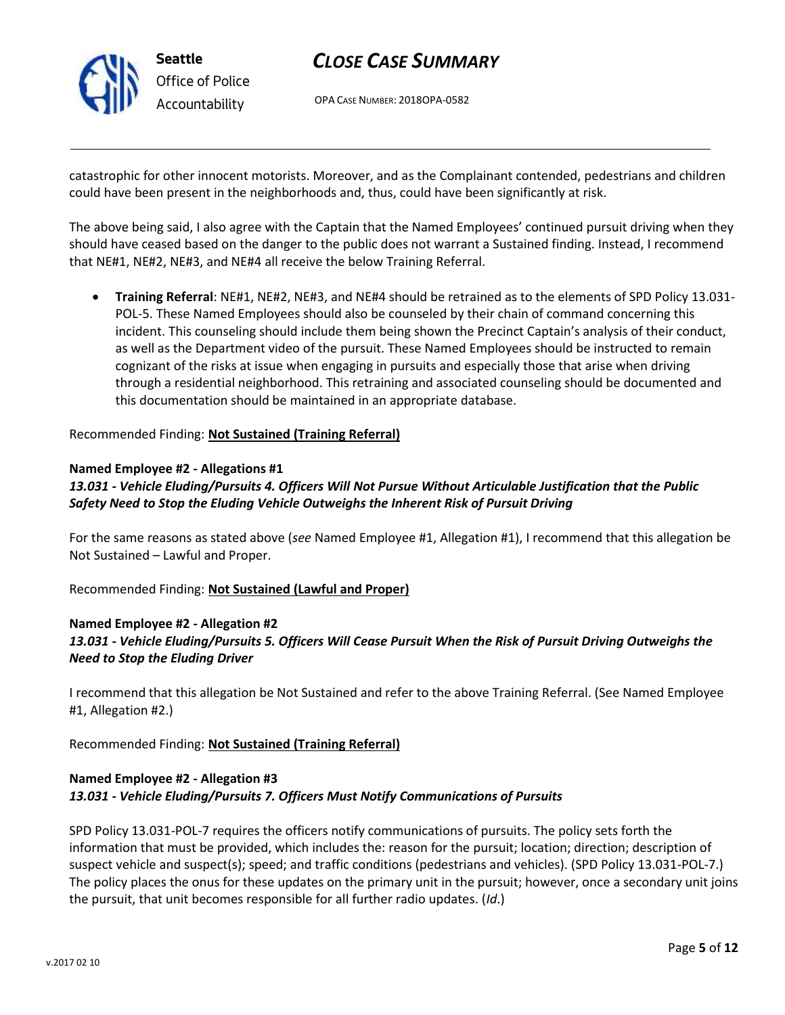

OPA CASE NUMBER: 2018OPA-0582

catastrophic for other innocent motorists. Moreover, and as the Complainant contended, pedestrians and children could have been present in the neighborhoods and, thus, could have been significantly at risk.

The above being said, I also agree with the Captain that the Named Employees' continued pursuit driving when they should have ceased based on the danger to the public does not warrant a Sustained finding. Instead, I recommend that NE#1, NE#2, NE#3, and NE#4 all receive the below Training Referral.

• **Training Referral**: NE#1, NE#2, NE#3, and NE#4 should be retrained as to the elements of SPD Policy 13.031- POL-5. These Named Employees should also be counseled by their chain of command concerning this incident. This counseling should include them being shown the Precinct Captain's analysis of their conduct, as well as the Department video of the pursuit. These Named Employees should be instructed to remain cognizant of the risks at issue when engaging in pursuits and especially those that arise when driving through a residential neighborhood. This retraining and associated counseling should be documented and this documentation should be maintained in an appropriate database.

Recommended Finding: **Not Sustained (Training Referral)**

#### **Named Employee #2 - Allegations #1**

### *13.031 - Vehicle Eluding/Pursuits 4. Officers Will Not Pursue Without Articulable Justification that the Public Safety Need to Stop the Eluding Vehicle Outweighs the Inherent Risk of Pursuit Driving*

For the same reasons as stated above (*see* Named Employee #1, Allegation #1), I recommend that this allegation be Not Sustained – Lawful and Proper.

Recommended Finding: **Not Sustained (Lawful and Proper)**

#### **Named Employee #2 - Allegation #2**

### *13.031 - Vehicle Eluding/Pursuits 5. Officers Will Cease Pursuit When the Risk of Pursuit Driving Outweighs the Need to Stop the Eluding Driver*

I recommend that this allegation be Not Sustained and refer to the above Training Referral. (See Named Employee #1, Allegation #2.)

Recommended Finding: **Not Sustained (Training Referral)**

### **Named Employee #2 - Allegation #3** *13.031 - Vehicle Eluding/Pursuits 7. Officers Must Notify Communications of Pursuits*

SPD Policy 13.031-POL-7 requires the officers notify communications of pursuits. The policy sets forth the information that must be provided, which includes the: reason for the pursuit; location; direction; description of suspect vehicle and suspect(s); speed; and traffic conditions (pedestrians and vehicles). (SPD Policy 13.031-POL-7.) The policy places the onus for these updates on the primary unit in the pursuit; however, once a secondary unit joins the pursuit, that unit becomes responsible for all further radio updates. (*Id*.)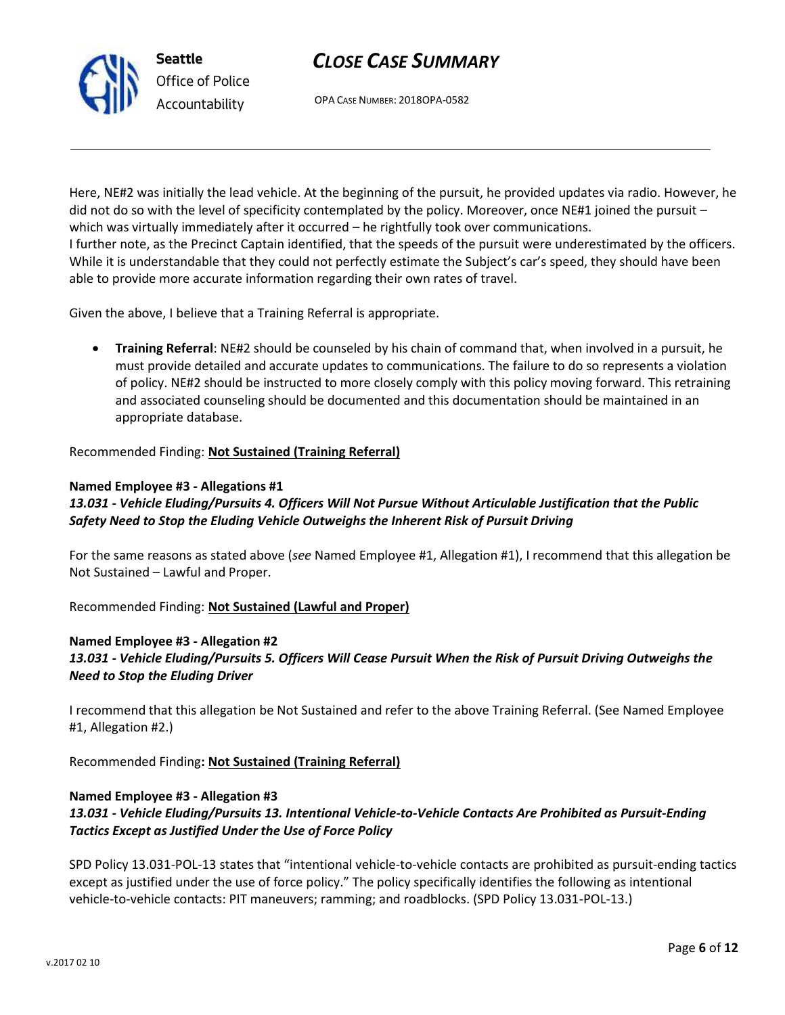

OPA CASE NUMBER: 2018OPA-0582

Here, NE#2 was initially the lead vehicle. At the beginning of the pursuit, he provided updates via radio. However, he did not do so with the level of specificity contemplated by the policy. Moreover, once NE#1 joined the pursuit – which was virtually immediately after it occurred – he rightfully took over communications. I further note, as the Precinct Captain identified, that the speeds of the pursuit were underestimated by the officers. While it is understandable that they could not perfectly estimate the Subject's car's speed, they should have been able to provide more accurate information regarding their own rates of travel.

Given the above, I believe that a Training Referral is appropriate.

• **Training Referral**: NE#2 should be counseled by his chain of command that, when involved in a pursuit, he must provide detailed and accurate updates to communications. The failure to do so represents a violation of policy. NE#2 should be instructed to more closely comply with this policy moving forward. This retraining and associated counseling should be documented and this documentation should be maintained in an appropriate database.

Recommended Finding: **Not Sustained (Training Referral)**

#### **Named Employee #3 - Allegations #1**

*13.031 - Vehicle Eluding/Pursuits 4. Officers Will Not Pursue Without Articulable Justification that the Public Safety Need to Stop the Eluding Vehicle Outweighs the Inherent Risk of Pursuit Driving*

For the same reasons as stated above (*see* Named Employee #1, Allegation #1), I recommend that this allegation be Not Sustained – Lawful and Proper.

Recommended Finding: **Not Sustained (Lawful and Proper)**

#### **Named Employee #3 - Allegation #2**

### *13.031 - Vehicle Eluding/Pursuits 5. Officers Will Cease Pursuit When the Risk of Pursuit Driving Outweighs the Need to Stop the Eluding Driver*

I recommend that this allegation be Not Sustained and refer to the above Training Referral. (See Named Employee #1, Allegation #2.)

Recommended Finding**: Not Sustained (Training Referral)**

#### **Named Employee #3 - Allegation #3**

### *13.031 - Vehicle Eluding/Pursuits 13. Intentional Vehicle-to-Vehicle Contacts Are Prohibited as Pursuit-Ending Tactics Except as Justified Under the Use of Force Policy*

SPD Policy 13.031-POL-13 states that "intentional vehicle-to-vehicle contacts are prohibited as pursuit-ending tactics except as justified under the use of force policy." The policy specifically identifies the following as intentional vehicle-to-vehicle contacts: PIT maneuvers; ramming; and roadblocks. (SPD Policy 13.031-POL-13.)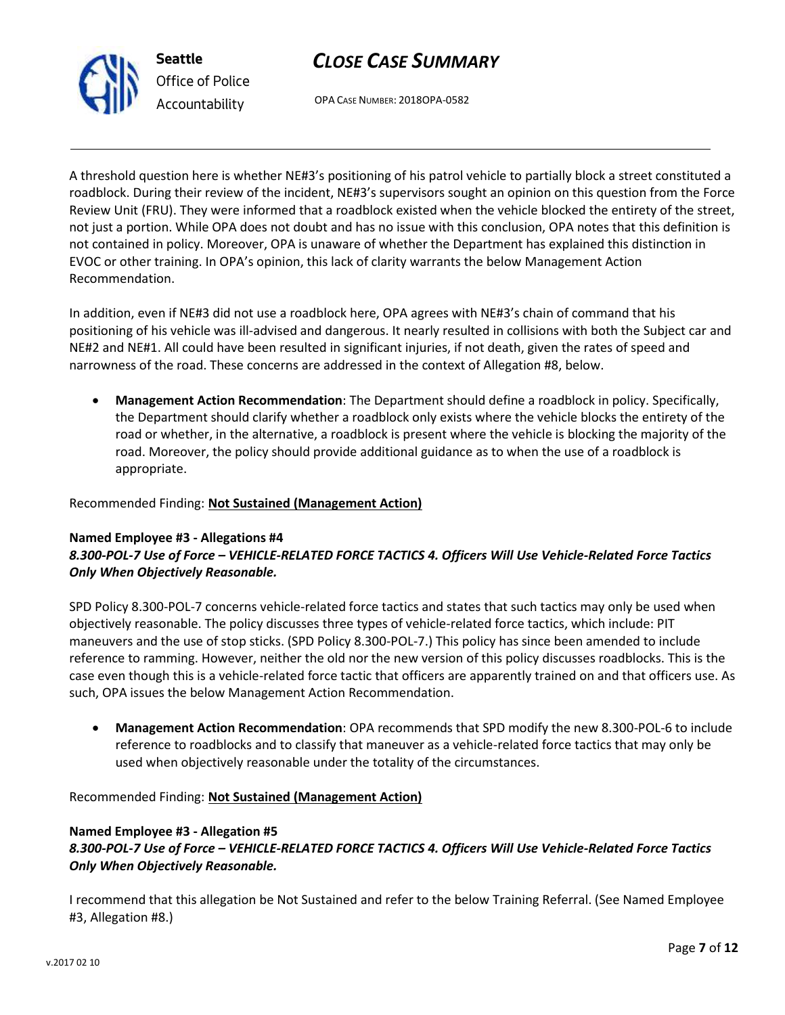



OPA CASE NUMBER: 2018OPA-0582

A threshold question here is whether NE#3's positioning of his patrol vehicle to partially block a street constituted a roadblock. During their review of the incident, NE#3's supervisors sought an opinion on this question from the Force Review Unit (FRU). They were informed that a roadblock existed when the vehicle blocked the entirety of the street, not just a portion. While OPA does not doubt and has no issue with this conclusion, OPA notes that this definition is not contained in policy. Moreover, OPA is unaware of whether the Department has explained this distinction in EVOC or other training. In OPA's opinion, this lack of clarity warrants the below Management Action Recommendation.

In addition, even if NE#3 did not use a roadblock here, OPA agrees with NE#3's chain of command that his positioning of his vehicle was ill-advised and dangerous. It nearly resulted in collisions with both the Subject car and NE#2 and NE#1. All could have been resulted in significant injuries, if not death, given the rates of speed and narrowness of the road. These concerns are addressed in the context of Allegation #8, below.

• **Management Action Recommendation**: The Department should define a roadblock in policy. Specifically, the Department should clarify whether a roadblock only exists where the vehicle blocks the entirety of the road or whether, in the alternative, a roadblock is present where the vehicle is blocking the majority of the road. Moreover, the policy should provide additional guidance as to when the use of a roadblock is appropriate.

#### Recommended Finding: **Not Sustained (Management Action)**

#### **Named Employee #3 - Allegations #4** *8.300-POL-7 Use of Force – VEHICLE-RELATED FORCE TACTICS 4. Officers Will Use Vehicle-Related Force Tactics Only When Objectively Reasonable.*

SPD Policy 8.300-POL-7 concerns vehicle-related force tactics and states that such tactics may only be used when objectively reasonable. The policy discusses three types of vehicle-related force tactics, which include: PIT maneuvers and the use of stop sticks. (SPD Policy 8.300-POL-7.) This policy has since been amended to include reference to ramming. However, neither the old nor the new version of this policy discusses roadblocks. This is the case even though this is a vehicle-related force tactic that officers are apparently trained on and that officers use. As such, OPA issues the below Management Action Recommendation.

• **Management Action Recommendation**: OPA recommends that SPD modify the new 8.300-POL-6 to include reference to roadblocks and to classify that maneuver as a vehicle-related force tactics that may only be used when objectively reasonable under the totality of the circumstances.

Recommended Finding: **Not Sustained (Management Action)**

#### **Named Employee #3 - Allegation #5** *8.300-POL-7 Use of Force – VEHICLE-RELATED FORCE TACTICS 4. Officers Will Use Vehicle-Related Force Tactics Only When Objectively Reasonable.*

I recommend that this allegation be Not Sustained and refer to the below Training Referral. (See Named Employee #3, Allegation #8.)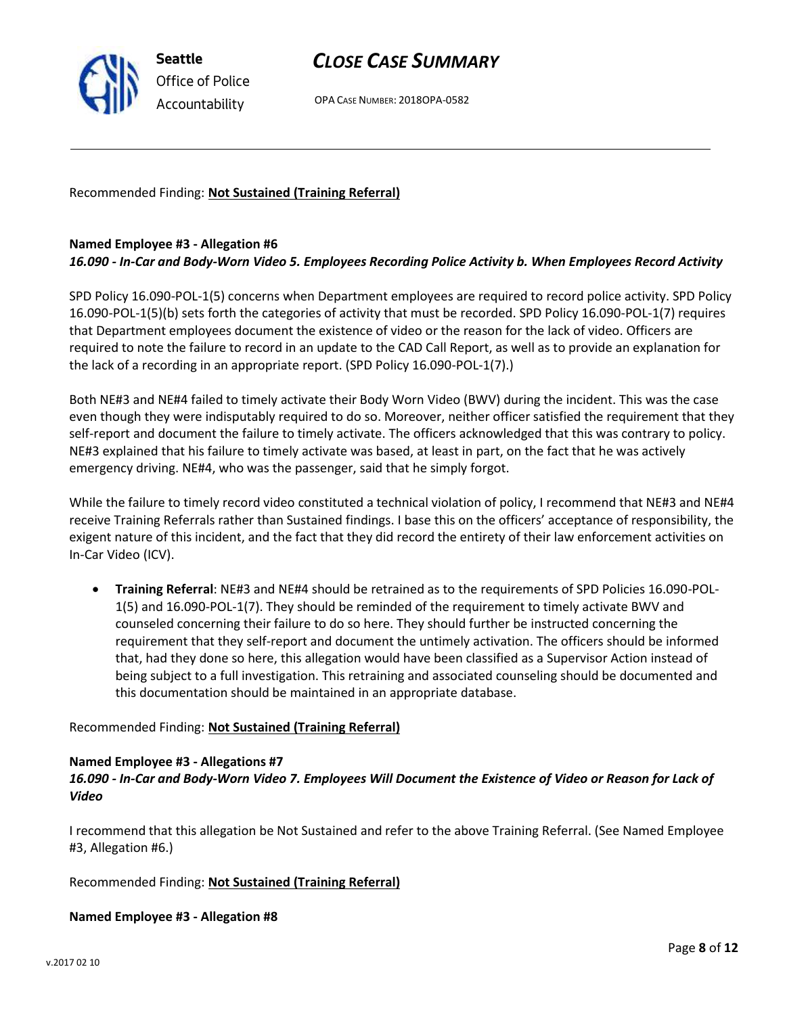

OPA CASE NUMBER: 2018OPA-0582

Recommended Finding: **Not Sustained (Training Referral)**

#### **Named Employee #3 - Allegation #6**

#### *16.090 - In-Car and Body-Worn Video 5. Employees Recording Police Activity b. When Employees Record Activity*

SPD Policy 16.090-POL-1(5) concerns when Department employees are required to record police activity. SPD Policy 16.090-POL-1(5)(b) sets forth the categories of activity that must be recorded. SPD Policy 16.090-POL-1(7) requires that Department employees document the existence of video or the reason for the lack of video. Officers are required to note the failure to record in an update to the CAD Call Report, as well as to provide an explanation for the lack of a recording in an appropriate report. (SPD Policy 16.090-POL-1(7).)

Both NE#3 and NE#4 failed to timely activate their Body Worn Video (BWV) during the incident. This was the case even though they were indisputably required to do so. Moreover, neither officer satisfied the requirement that they self-report and document the failure to timely activate. The officers acknowledged that this was contrary to policy. NE#3 explained that his failure to timely activate was based, at least in part, on the fact that he was actively emergency driving. NE#4, who was the passenger, said that he simply forgot.

While the failure to timely record video constituted a technical violation of policy, I recommend that NE#3 and NE#4 receive Training Referrals rather than Sustained findings. I base this on the officers' acceptance of responsibility, the exigent nature of this incident, and the fact that they did record the entirety of their law enforcement activities on In-Car Video (ICV).

• **Training Referral**: NE#3 and NE#4 should be retrained as to the requirements of SPD Policies 16.090-POL-1(5) and 16.090-POL-1(7). They should be reminded of the requirement to timely activate BWV and counseled concerning their failure to do so here. They should further be instructed concerning the requirement that they self-report and document the untimely activation. The officers should be informed that, had they done so here, this allegation would have been classified as a Supervisor Action instead of being subject to a full investigation. This retraining and associated counseling should be documented and this documentation should be maintained in an appropriate database.

Recommended Finding: **Not Sustained (Training Referral)**

#### **Named Employee #3 - Allegations #7**

### *16.090 - In-Car and Body-Worn Video 7. Employees Will Document the Existence of Video or Reason for Lack of Video*

I recommend that this allegation be Not Sustained and refer to the above Training Referral. (See Named Employee #3, Allegation #6.)

Recommended Finding: **Not Sustained (Training Referral)**

#### **Named Employee #3 - Allegation #8**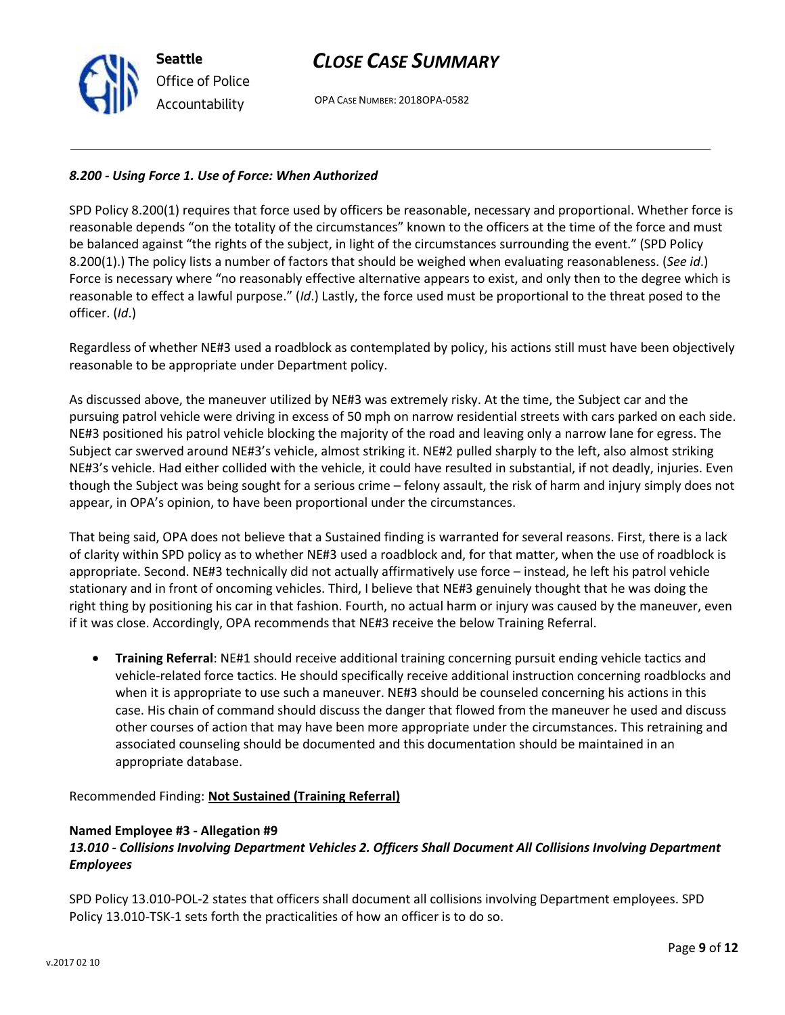v.2017 02 10

## *CLOSE CASE SUMMARY*

OPA CASE NUMBER: 2018OPA-0582

### *8.200 - Using Force 1. Use of Force: When Authorized*

SPD Policy 8.200(1) requires that force used by officers be reasonable, necessary and proportional. Whether force is reasonable depends "on the totality of the circumstances" known to the officers at the time of the force and must be balanced against "the rights of the subject, in light of the circumstances surrounding the event." (SPD Policy 8.200(1).) The policy lists a number of factors that should be weighed when evaluating reasonableness. (*See id*.) Force is necessary where "no reasonably effective alternative appears to exist, and only then to the degree which is reasonable to effect a lawful purpose." (*Id*.) Lastly, the force used must be proportional to the threat posed to the officer. (*Id*.)

Regardless of whether NE#3 used a roadblock as contemplated by policy, his actions still must have been objectively reasonable to be appropriate under Department policy.

As discussed above, the maneuver utilized by NE#3 was extremely risky. At the time, the Subject car and the pursuing patrol vehicle were driving in excess of 50 mph on narrow residential streets with cars parked on each side. NE#3 positioned his patrol vehicle blocking the majority of the road and leaving only a narrow lane for egress. The Subject car swerved around NE#3's vehicle, almost striking it. NE#2 pulled sharply to the left, also almost striking NE#3's vehicle. Had either collided with the vehicle, it could have resulted in substantial, if not deadly, injuries. Even though the Subject was being sought for a serious crime – felony assault, the risk of harm and injury simply does not appear, in OPA's opinion, to have been proportional under the circumstances.

That being said, OPA does not believe that a Sustained finding is warranted for several reasons. First, there is a lack of clarity within SPD policy as to whether NE#3 used a roadblock and, for that matter, when the use of roadblock is appropriate. Second. NE#3 technically did not actually affirmatively use force – instead, he left his patrol vehicle stationary and in front of oncoming vehicles. Third, I believe that NE#3 genuinely thought that he was doing the right thing by positioning his car in that fashion. Fourth, no actual harm or injury was caused by the maneuver, even if it was close. Accordingly, OPA recommends that NE#3 receive the below Training Referral.

• **Training Referral**: NE#1 should receive additional training concerning pursuit ending vehicle tactics and vehicle-related force tactics. He should specifically receive additional instruction concerning roadblocks and when it is appropriate to use such a maneuver. NE#3 should be counseled concerning his actions in this case. His chain of command should discuss the danger that flowed from the maneuver he used and discuss other courses of action that may have been more appropriate under the circumstances. This retraining and associated counseling should be documented and this documentation should be maintained in an appropriate database.

Recommended Finding: **Not Sustained (Training Referral)**

#### **Named Employee #3 - Allegation #9**

### *13.010 - Collisions Involving Department Vehicles 2. Officers Shall Document All Collisions Involving Department Employees*

SPD Policy 13.010-POL-2 states that officers shall document all collisions involving Department employees. SPD Policy 13.010-TSK-1 sets forth the practicalities of how an officer is to do so.

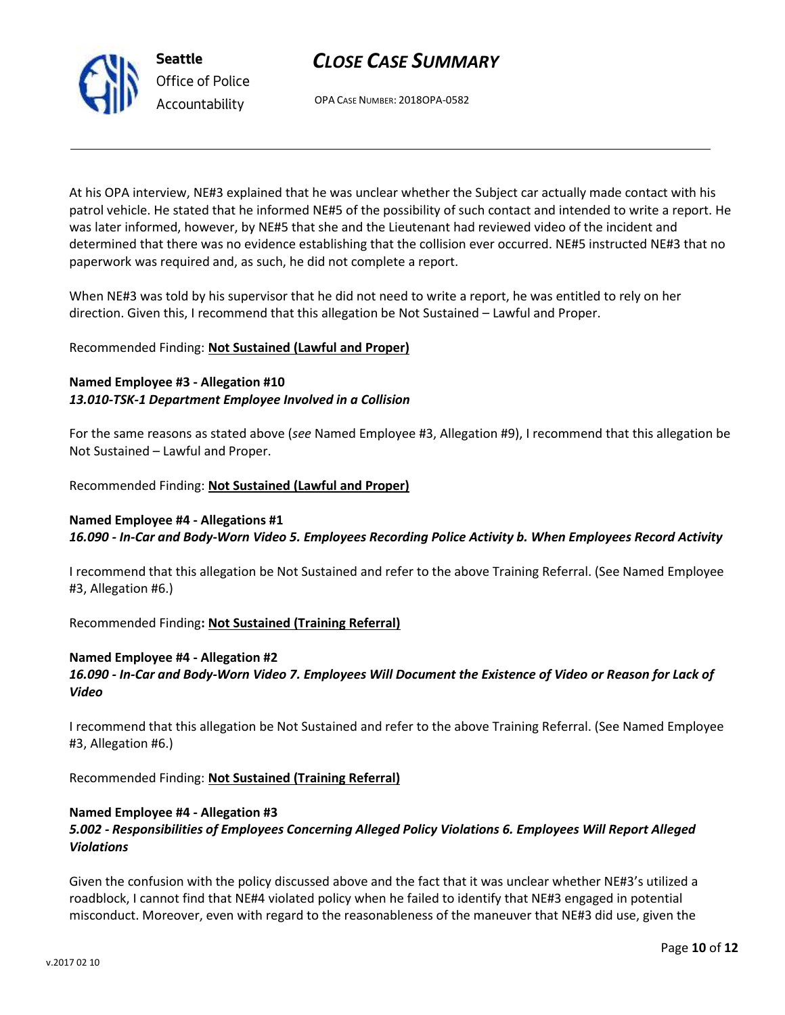OPA CASE NUMBER: 2018OPA-0582

At his OPA interview, NE#3 explained that he was unclear whether the Subject car actually made contact with his patrol vehicle. He stated that he informed NE#5 of the possibility of such contact and intended to write a report. He was later informed, however, by NE#5 that she and the Lieutenant had reviewed video of the incident and determined that there was no evidence establishing that the collision ever occurred. NE#5 instructed NE#3 that no paperwork was required and, as such, he did not complete a report.

When NE#3 was told by his supervisor that he did not need to write a report, he was entitled to rely on her direction. Given this, I recommend that this allegation be Not Sustained – Lawful and Proper.

## Recommended Finding: **Not Sustained (Lawful and Proper)**

### **Named Employee #3 - Allegation #10** *13.010-TSK-1 Department Employee Involved in a Collision*

For the same reasons as stated above (*see* Named Employee #3, Allegation #9), I recommend that this allegation be Not Sustained – Lawful and Proper.

Recommended Finding: **Not Sustained (Lawful and Proper)**

### **Named Employee #4 - Allegations #1** *16.090 - In-Car and Body-Worn Video 5. Employees Recording Police Activity b. When Employees Record Activity*

I recommend that this allegation be Not Sustained and refer to the above Training Referral. (See Named Employee #3, Allegation #6.)

Recommended Finding**: Not Sustained (Training Referral)**

## **Named Employee #4 - Allegation #2**

*16.090 - In-Car and Body-Worn Video 7. Employees Will Document the Existence of Video or Reason for Lack of Video*

I recommend that this allegation be Not Sustained and refer to the above Training Referral. (See Named Employee #3, Allegation #6.)

Recommended Finding: **Not Sustained (Training Referral)**

## **Named Employee #4 - Allegation #3**

### *5.002 - Responsibilities of Employees Concerning Alleged Policy Violations 6. Employees Will Report Alleged Violations*

Given the confusion with the policy discussed above and the fact that it was unclear whether NE#3's utilized a roadblock, I cannot find that NE#4 violated policy when he failed to identify that NE#3 engaged in potential misconduct. Moreover, even with regard to the reasonableness of the maneuver that NE#3 did use, given the



**Seattle**

*Office of Police Accountability*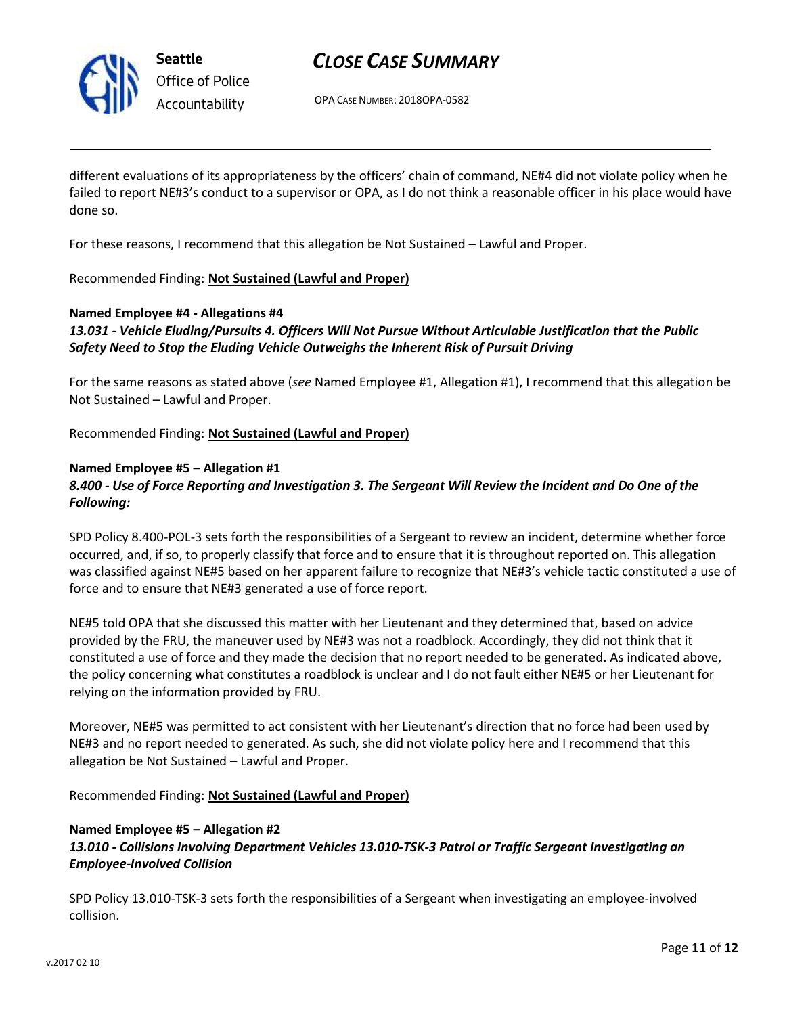

**Seattle** *Office of Police Accountability*

# *CLOSE CASE SUMMARY*

OPA CASE NUMBER: 2018OPA-0582

different evaluations of its appropriateness by the officers' chain of command, NE#4 did not violate policy when he failed to report NE#3's conduct to a supervisor or OPA, as I do not think a reasonable officer in his place would have done so.

For these reasons, I recommend that this allegation be Not Sustained – Lawful and Proper.

#### Recommended Finding: **Not Sustained (Lawful and Proper)**

#### **Named Employee #4 - Allegations #4**

### *13.031 - Vehicle Eluding/Pursuits 4. Officers Will Not Pursue Without Articulable Justification that the Public Safety Need to Stop the Eluding Vehicle Outweighs the Inherent Risk of Pursuit Driving*

For the same reasons as stated above (*see* Named Employee #1, Allegation #1), I recommend that this allegation be Not Sustained – Lawful and Proper.

Recommended Finding: **Not Sustained (Lawful and Proper)**

#### **Named Employee #5 – Allegation #1**

### *8.400 - Use of Force Reporting and Investigation 3. The Sergeant Will Review the Incident and Do One of the Following:*

SPD Policy 8.400-POL-3 sets forth the responsibilities of a Sergeant to review an incident, determine whether force occurred, and, if so, to properly classify that force and to ensure that it is throughout reported on. This allegation was classified against NE#5 based on her apparent failure to recognize that NE#3's vehicle tactic constituted a use of force and to ensure that NE#3 generated a use of force report.

NE#5 told OPA that she discussed this matter with her Lieutenant and they determined that, based on advice provided by the FRU, the maneuver used by NE#3 was not a roadblock. Accordingly, they did not think that it constituted a use of force and they made the decision that no report needed to be generated. As indicated above, the policy concerning what constitutes a roadblock is unclear and I do not fault either NE#5 or her Lieutenant for relying on the information provided by FRU.

Moreover, NE#5 was permitted to act consistent with her Lieutenant's direction that no force had been used by NE#3 and no report needed to generated. As such, she did not violate policy here and I recommend that this allegation be Not Sustained – Lawful and Proper.

Recommended Finding: **Not Sustained (Lawful and Proper)**

#### **Named Employee #5 – Allegation #2**

### *13.010 - Collisions Involving Department Vehicles 13.010-TSK-3 Patrol or Traffic Sergeant Investigating an Employee-Involved Collision*

SPD Policy 13.010-TSK-3 sets forth the responsibilities of a Sergeant when investigating an employee-involved collision.